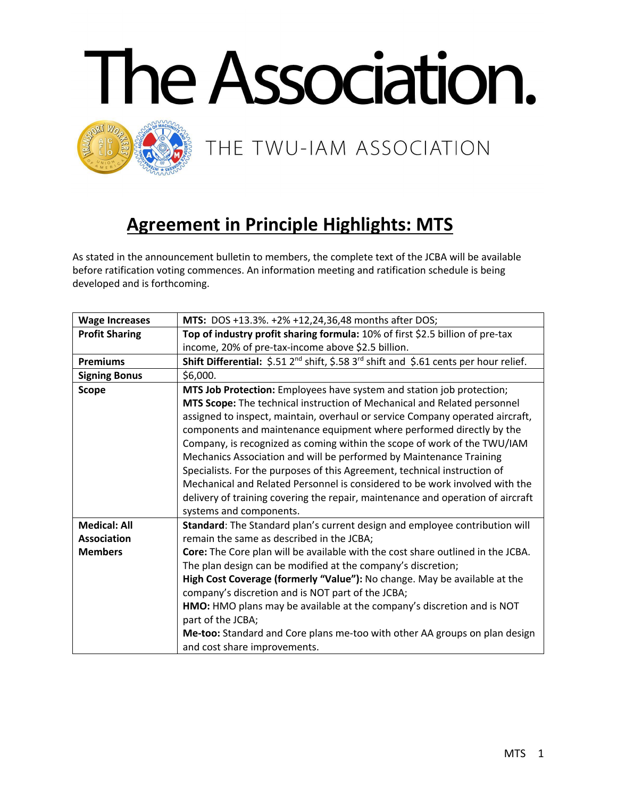

## **Agreement in Principle Highlights: MTS**

As stated in the announcement bulletin to members, the complete text of the JCBA will be available before ratification voting commences. An information meeting and ratification schedule is being developed and is forthcoming.

| <b>Wage Increases</b> | MTS: DOS +13.3%. +2% +12,24,36,48 months after DOS;                                                                             |
|-----------------------|---------------------------------------------------------------------------------------------------------------------------------|
| <b>Profit Sharing</b> | Top of industry profit sharing formula: 10% of first \$2.5 billion of pre-tax                                                   |
|                       | income, 20% of pre-tax-income above \$2.5 billion.                                                                              |
| <b>Premiums</b>       | <b>Shift Differential:</b> $\frac{5.51}{2^{nd}}$ shift, $\frac{5.58}{3^{rd}}$ shift and $\frac{5.61}{2}$ cents per hour relief. |
| <b>Signing Bonus</b>  | \$6,000.                                                                                                                        |
| <b>Scope</b>          | MTS Job Protection: Employees have system and station job protection;                                                           |
|                       | MTS Scope: The technical instruction of Mechanical and Related personnel                                                        |
|                       | assigned to inspect, maintain, overhaul or service Company operated aircraft,                                                   |
|                       | components and maintenance equipment where performed directly by the                                                            |
|                       | Company, is recognized as coming within the scope of work of the TWU/IAM                                                        |
|                       | Mechanics Association and will be performed by Maintenance Training                                                             |
|                       | Specialists. For the purposes of this Agreement, technical instruction of                                                       |
|                       | Mechanical and Related Personnel is considered to be work involved with the                                                     |
|                       | delivery of training covering the repair, maintenance and operation of aircraft                                                 |
|                       | systems and components.                                                                                                         |
| <b>Medical: All</b>   | Standard: The Standard plan's current design and employee contribution will                                                     |
| <b>Association</b>    | remain the same as described in the JCBA;                                                                                       |
| <b>Members</b>        | Core: The Core plan will be available with the cost share outlined in the JCBA.                                                 |
|                       | The plan design can be modified at the company's discretion;                                                                    |
|                       | High Cost Coverage (formerly "Value"): No change. May be available at the                                                       |
|                       | company's discretion and is NOT part of the JCBA;                                                                               |
|                       | HMO: HMO plans may be available at the company's discretion and is NOT                                                          |
|                       | part of the JCBA;                                                                                                               |
|                       | Me-too: Standard and Core plans me-too with other AA groups on plan design                                                      |
|                       | and cost share improvements.                                                                                                    |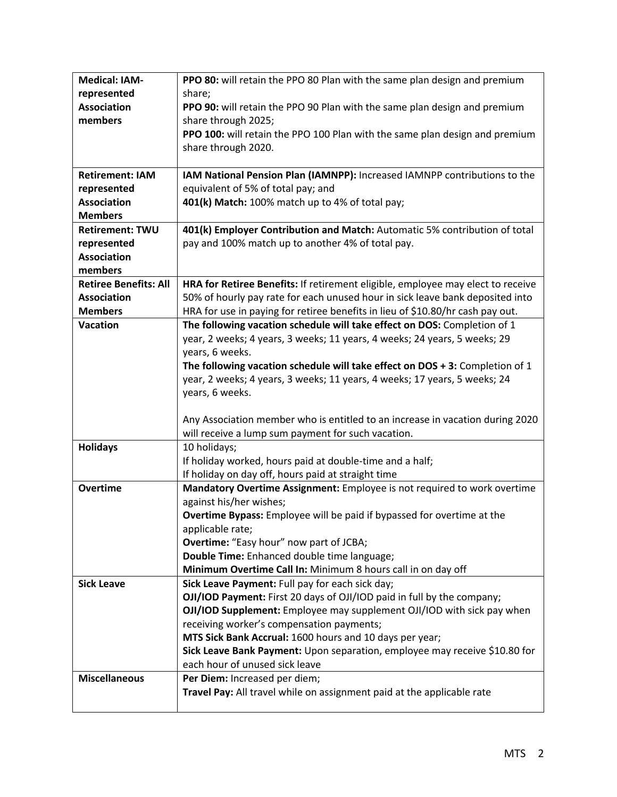| <b>Medical: IAM-</b>         | PPO 80: will retain the PPO 80 Plan with the same plan design and premium                           |
|------------------------------|-----------------------------------------------------------------------------------------------------|
| represented                  | share;                                                                                              |
| <b>Association</b>           | PPO 90: will retain the PPO 90 Plan with the same plan design and premium                           |
| members                      | share through 2025;                                                                                 |
|                              | PPO 100: will retain the PPO 100 Plan with the same plan design and premium                         |
|                              | share through 2020.                                                                                 |
|                              |                                                                                                     |
| <b>Retirement: IAM</b>       | IAM National Pension Plan (IAMNPP): Increased IAMNPP contributions to the                           |
| represented                  | equivalent of 5% of total pay; and                                                                  |
| <b>Association</b>           | 401(k) Match: 100% match up to 4% of total pay;                                                     |
| <b>Members</b>               |                                                                                                     |
| <b>Retirement: TWU</b>       | 401(k) Employer Contribution and Match: Automatic 5% contribution of total                          |
| represented                  | pay and 100% match up to another 4% of total pay.                                                   |
| <b>Association</b>           |                                                                                                     |
| members                      |                                                                                                     |
| <b>Retiree Benefits: All</b> | HRA for Retiree Benefits: If retirement eligible, employee may elect to receive                     |
| <b>Association</b>           | 50% of hourly pay rate for each unused hour in sick leave bank deposited into                       |
| <b>Members</b>               | HRA for use in paying for retiree benefits in lieu of \$10.80/hr cash pay out.                      |
| <b>Vacation</b>              | The following vacation schedule will take effect on DOS: Completion of 1                            |
|                              | year, 2 weeks; 4 years, 3 weeks; 11 years, 4 weeks; 24 years, 5 weeks; 29                           |
|                              | years, 6 weeks.                                                                                     |
|                              | The following vacation schedule will take effect on $DOS + 3$ : Completion of 1                     |
|                              | year, 2 weeks; 4 years, 3 weeks; 11 years, 4 weeks; 17 years, 5 weeks; 24                           |
|                              | years, 6 weeks.                                                                                     |
|                              |                                                                                                     |
|                              | Any Association member who is entitled to an increase in vacation during 2020                       |
|                              | will receive a lump sum payment for such vacation.                                                  |
| <b>Holidays</b>              | 10 holidays;                                                                                        |
|                              | If holiday worked, hours paid at double-time and a half;                                            |
| <b>Overtime</b>              | If holiday on day off, hours paid at straight time                                                  |
|                              | Mandatory Overtime Assignment: Employee is not required to work overtime<br>against his/her wishes; |
|                              | Overtime Bypass: Employee will be paid if bypassed for overtime at the                              |
|                              | applicable rate;                                                                                    |
|                              | Overtime: "Easy hour" now part of JCBA;                                                             |
|                              | Double Time: Enhanced double time language;                                                         |
|                              | Minimum Overtime Call In: Minimum 8 hours call in on day off                                        |
| <b>Sick Leave</b>            | Sick Leave Payment: Full pay for each sick day;                                                     |
|                              | OJI/IOD Payment: First 20 days of OJI/IOD paid in full by the company;                              |
|                              | OJI/IOD Supplement: Employee may supplement OJI/IOD with sick pay when                              |
|                              | receiving worker's compensation payments;                                                           |
|                              | MTS Sick Bank Accrual: 1600 hours and 10 days per year;                                             |
|                              | Sick Leave Bank Payment: Upon separation, employee may receive \$10.80 for                          |
|                              | each hour of unused sick leave                                                                      |
| <b>Miscellaneous</b>         | Per Diem: Increased per diem;                                                                       |
|                              | Travel Pay: All travel while on assignment paid at the applicable rate                              |
|                              |                                                                                                     |